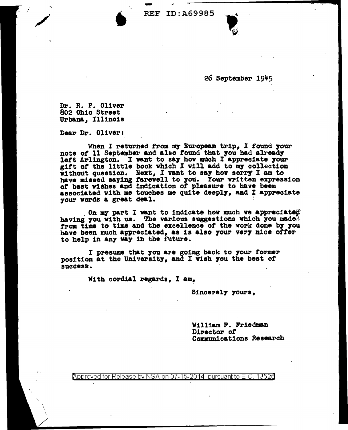REF ID: A69985



26 September 1945

Dr. R. P. Oliver 802 Ohio Street Urban&, Illinois

 $\hat{I} = \frac{1}{2}$ 

/

' \ ". /

Dear Dr. Oliver:

When I returned from my European trip, I found your note of 11 September and also found that you had already left Arlington. I want to say how much I appreciate your gift of the little book which I will add to my collection without question. Next, I want to say how sorry I am to have missed saying farewell to you. Your written expression of best wishes and indication of pleasure to have been associated with me touches me quite deeply, and I appreciate your words a great deal.

. On my part I want to indicate how much we appreciated having you with us. The various suggestions which you made. from time to time and the excellence of the work done by you have been much appreciated, as is also your very nice offer to help in any way in the future.

I presume that you are going back to 7our former position at the University, and I vish you the best of success.

With cordial regards,  $I$  am,

Sincerely yours,

William P. Friedman Director of Communications Research

Approved for Release by NSA on 07-15-2014 pursuant to E.O. 13526